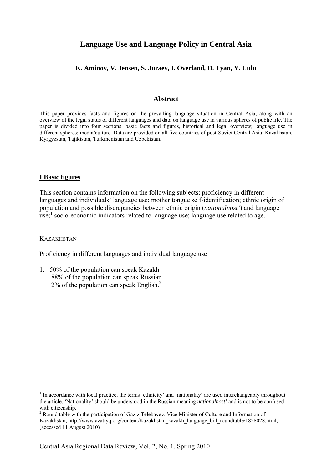# **Language Use and Language Policy in Central Asia**

# **K. Aminov, V. Jensen, S. Juraev, I. Overland, D. Tyan, Y. Uulu**

#### **Abstract**

This paper provides facts and figures on the prevailing language situation in Central Asia, along with an overview of the legal status of different languages and data on language use in various spheres of public life. The paper is divided into four sections: basic facts and figures, historical and legal overview; language use in different spheres; media/culture. Data are provided on all five countries of post-Soviet Central Asia: Kazakhstan, Kyrgyzstan, Tajikistan, Turkmenistan and Uzbekistan.

#### **I Basic figures**

This section contains information on the following subjects: proficiency in different languages and individuals' language use; mother tongue self-identification; ethnic origin of population and possible discrepancies between ethnic origin (*nationalnost'*) and language  $\text{L}$  socio-economic indicators related to language use; language use related to age.

#### **KAZAKHSTAN**

1

Proficiency in different languages and individual language use

1. 50% of the population can speak Kazakh 88% of the population can speak Russian  $2\%$  of the population can speak English.<sup>2</sup>

<sup>&</sup>lt;sup>1</sup> In accordance with local practice, the terms 'ethnicity' and 'nationality' are used interchangeably throughout the article. 'Nationality' should be understood in the Russian meaning *nationalnost'* and is not to be confused with citizenship.

<sup>&</sup>lt;sup>2</sup> Round table with the participation of Gaziz Telebayev, Vice Minister of Culture and Information of Kazakhstan, http://www.azattyq.org/content/Kazakhstan\_kazakh\_language\_bill\_roundtable/1828028.html, (accessed 11 August 2010)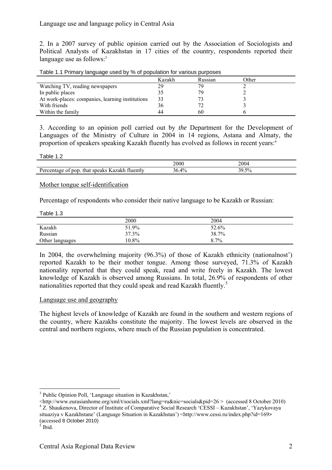# Language use and language policy in Central Asia

2. In a 2007 survey of public opinion carried out by the Association of Sociologists and Political Analysts of Kazakhstan in 17 cities of the country, respondents reported their language use as follows:<sup>3</sup>

| Table 1.1 Primary language used by % of population for various purposes |  |  |  |
|-------------------------------------------------------------------------|--|--|--|
|                                                                         |  |  |  |

|                                                  | Kazakh | Russian | <b>Other</b> |
|--------------------------------------------------|--------|---------|--------------|
| Watching TV, reading newspapers                  | 29     | 79      |              |
| In public places                                 |        | 79      |              |
| At work-places: companies, learning institutions | 33     |         |              |
| With friends                                     | 36     |         |              |
| Within the family                                | 44     | 60      |              |

3. According to an opinion poll carried out by *the* Department for the Development of Languages of the Ministry of Culture in 2004 in 14 regions, Astana and Almaty, the proportion of speakers speaking Kazakh fluently has evolved as follows in recent years:4

| able |  |
|------|--|
|------|--|

|                                                                                                                                    | 2000        | 2004                        |  |
|------------------------------------------------------------------------------------------------------------------------------------|-------------|-----------------------------|--|
| --<br>ozolzh<br>that speaks<br>non<br>-fluently<br>$\overline{\phantom{a}}$<br>$\sim$ $\sim$ $\sim$ $\sim$ $\sim$<br>. <i>AN</i> . | $4\%$<br>١r | $\sim$<br>'70<br>ے ۔<br>ر ب |  |

#### Mother tongue self-identification

Percentage of respondents who consider their native language to be Kazakh or Russian:

| טוי שוטאי       |          |         |  |
|-----------------|----------|---------|--|
|                 | 2000     | 2004    |  |
| Kazakh          | 51.9%    | 52.6%   |  |
| Russian         | 37.3%    | 38.7%   |  |
| Other languages | $10.8\%$ | $8.7\%$ |  |

In 2004, the overwhelming majority (96.3%) of those of Kazakh ethnicity (nationalnost') reported Kazakh to be their mother tongue. Among those surveyed, 71.3% of Kazakh nationality reported that they could speak, read and write freely in Kazakh. The lowest knowledge of Kazakh is observed among Russians. In total, 26.9% of respondents of other nationalities reported that they could speak and read Kazakh fluently.<sup>5</sup>

#### Language use and geography

The highest levels of knowledge of Kazakh are found in the southern and western regions of the country, where Kazakhs constitute the majority. The lowest levels are observed in the central and northern regions, where much of the Russian population is concentrated.

1

<sup>3</sup> Public Opinion Poll, 'Language situation in Kazakhstan,'

 $\text{6}$  -thtp://www.eurasianhome.org/xml/t/socials.xml?lang=ru&nic=socials&pid=26 > (accessed 8 October 2010) <sup>4</sup> Z. Shaukenova, Director of Institute of Comparative Social Research 'CESSI – Kazakhstan', 'Yazykovaya situaziya v Kazakhstane' (Language Situation in Kazakhstan') <http://www.cessi.ru/index.php?id=169> (accessed 8 October 2010)

 $\delta$  Ibid.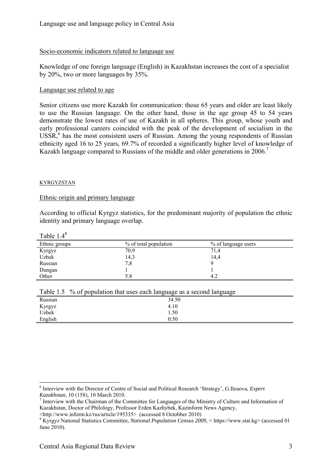## Socio-economic indicators related to language use

Knowledge of one foreign language (English) in Kazakhstan increases the cost of a specialist by 20%, two or more languages by 35%.

### Language use related to age

Senior citizens use more Kazakh for communication: those 65 years and older are least likely to use the Russian language. On the other hand, those in the age group 45 to 54 years demonstrate the lowest rates of use of Kazakh in all spheres. This group, whose youth and early professional careers coincided with the peak of the development of socialism in the  $USSR$ <sup>6</sup>, has the most consistent users of Russian. Among the young respondents of Russian ethnicity aged 16 to 25 years, 69.7% of recorded a significantly higher level of knowledge of Kazakh language compared to Russians of the middle and older generations in 2006.<sup>7</sup>

### KYRGYZSTAN

### Ethnic origin and primary language

According to official Kyrgyz statistics, for the predominant majority of population the ethnic identity and primary language overlap.

Table 1.48

1

| Ethnic groups | % of total population | % of language users |
|---------------|-----------------------|---------------------|
| Kyrgyz        | 70,9                  | 71.4                |
| Uzbek         | 14,3                  | 14.4                |
| Russian       | 7.8                   |                     |
| Dungan        |                       |                     |
| Other         | 5.8                   | 4.2                 |

|  | Table 1.5 % of population that uses each language as a second language |  |
|--|------------------------------------------------------------------------|--|
|  |                                                                        |  |

| ________ | .<br>- -<br>$\cdots$<br>- - - - - - - - -<br>-- |  |
|----------|-------------------------------------------------|--|
| Russian  | 34.50                                           |  |
| Kyrgyz   | 4.10                                            |  |
| Uzbek    | 1.50                                            |  |
| English  | 0.50                                            |  |
|          |                                                 |  |

<sup>6</sup> Interview with the Director of Centre of Social and Political Research 'Strategy', G.Ileuova, *Expert Kazakhstan*, 10 (158), 10 March 2010.

Interview with the Chairman of the Committee for Languages of the Ministry of Culture and Information of Kazakhstan, Doctor of Philology, Professor Erden Kazhybek, Kazinform News Agency,

<sup>&</sup>lt;http://www.inform.kz/rus/article/195335> (accessed 8 Octobber 2010) <sup>8</sup>

Kyrgyz National Statistics Committee, *National Population Census 2009*, < https://www.stat.kg> (accessed 01 June 2010).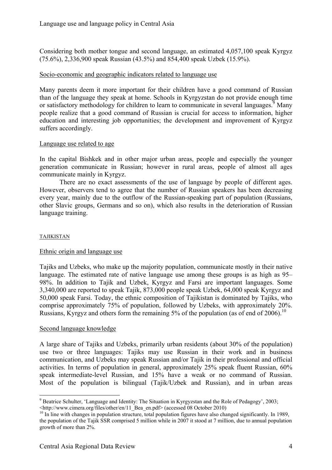Considering both mother tongue and second language, an estimated 4,057,100 speak Kyrgyz (75.6%), 2,336,900 speak Russian (43.5%) and 854,400 speak Uzbek (15.9%).

## Socio-economic and geographic indicators related to language use

Many parents deem it more important for their children have a good command of Russian than of the language they speak at home. Schools in Kyrgyzstan do not provide enough time or satisfactory methodology for children to learn to communicate in several languages.<sup>9</sup> Many people realize that a good command of Russian is crucial for access to information, higher education and interesting job opportunities; the development and improvement of Kyrgyz suffers accordingly.

## Language use related to age

In the capital Bishkek and in other major urban areas, people and especially the younger generation communicate in Russian; however in rural areas, people of almost all ages communicate mainly in Kyrgyz.

 There are no exact assessments of the use of language by people of different ages. However, observers tend to agree that the number of Russian speakers has been decreasing every year, mainly due to the outflow of the Russian-speaking part of population (Russians, other Slavic groups, Germans and so on), which also results in the deterioration of Russian language training.

### TAJIKISTAN

<u>.</u>

### Ethnic origin and language use

Tajiks and Uzbeks, who make up the majority population, communicate mostly in their native language. The estimated rate of native language use among these groups is as high as 95– 98%. In addition to Tajik and Uzbek, Kyrgyz and Farsi are important languages. Some 3,340,000 are reported to speak Tajik, 873,000 people speak Uzbek, 64,000 speak Kyrgyz and 50,000 speak Farsi. Today, the ethnic composition of Tajikistan is dominated by Tajiks, who comprise approximately 75% of population, followed by Uzbeks, with approximately 20%. Russians, Kyrgyz and others form the remaining 5% of the population (as of end of 2006).<sup>10</sup>

### Second language knowledge

A large share of Tajiks and Uzbeks, primarily urban residents (about 30% of the population) use two or three languages: Tajiks may use Russian in their work and in business communication, and Uzbeks may speak Russian and/or Tajik in their professional and official activities. In terms of population in general, approximately 25% speak fluent Russian, 60% speak intermediate-level Russian, and 15% have a weak or no command of Russian. Most of the population is bilingual (Tajik/Uzbek and Russian), and in urban areas

<sup>&</sup>lt;sup>9</sup> Beatrice Schulter, 'Language and Identity: The Situation in Kyrgyzstan and the Role of Pedagogy', 2003;

<sup>&</sup>lt;http://www.cimera.org/files/other/en/11\_Bea\_en.pdf> (accessed 08 October 2010) 10 In line with changes in population structure, total population figures have also changed significantly. In 1989, the population of the Tajik SSR comprised 5 million while in 2007 it stood at 7 million, due to annual population growth of more than 2%.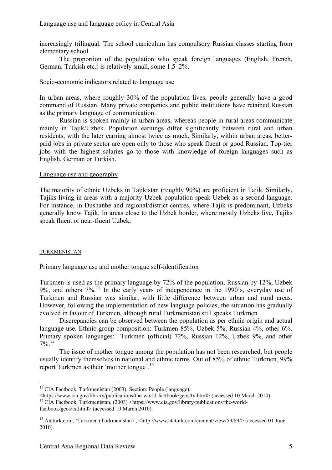increasingly trilingual. The school curriculum has compulsory Russian classes starting from elementary school.

The proportion of the population who speak foreign languages (English, French, German, Turkish etc.) is relatively small, some 1.5–2%.

## Socio-economic indicators related to language use

In urban areas, where roughly 30% of the population lives, people generally have a good command of Russian. Many private companies and public institutions have retained Russian as the primary language of communication.

 Russian is spoken mainly in urban areas, whereas people in rural areas communicate mainly in Tajik/Uzbek. Population earnings differ significantly between rural and urban residents, with the later earning almost twice as much. Similarly, within urban areas, betterpaid jobs in private sector are open only to those who speak fluent or good Russian. Top-tier jobs with the highest salaries go to those with knowledge of foreign languages such as English, German or Turkish.

## Language use and geography

The majority of ethnic Uzbeks in Tajikistan (roughly 90%) are proficient in Tajik. Similarly, Tajiks living in areas with a majority Uzbek population speak Uzbek as a second language. For instance, in Dushanbe and regional/district centres, where Tajik is predominant, Uzbeks generally know Tajik. In areas close to the Uzbek border, where mostly Uzbeks live, Tajiks speak fluent or near-fluent Uzbek.

### TURKMENISTAN

# Primary language use and mother tongue self-identification

Turkmen is used as the primary language by 72% of the population, Russian by 12%, Uzbek  $9\%$ , and others  $7\%$ .<sup>11</sup> In the early years of independence in the 1990's, everyday use of Turkmen and Russian was similar, with little difference between urban and rural areas. However, following the implementation of new language policies, the situation has gradually evolved in favour of Turkmen, although rural Turkmenistan still speaks Turkmen

Discrepancies can be observed between the population as per ethnic origin and actual language use. Ethnic group composition: Turkmen 85%, Uzbek 5%, Russian 4%, other 6%. Primary spoken languages: Turkmen (official) 72%, Russian 12%, Uzbek 9%, and other  $7\%$ <sup>12</sup>

The issue of mother tongue among the population has not been researched, but people usually identify themselves in national and ethnic terms. Out of 85% of ethnic Turkmen, 99% report Turkmen as their 'mother tongue'.<sup>13</sup>

<sup>1</sup>  $11$  CIA Factbook, Turkmenistan (2003), Section: People (language),

<sup>&</sup>lt;https://www.cia.gov/library/publications/the-world-factbook/geos/tx.html> (accessed 10 March 2010) 12 CIA Factbook, Turkmenistan, (2003) <https://www.cia.gov/library/publications/the-world-

factbook/geos/tx.html> (accessed 10 March 2010).

<sup>&</sup>lt;sup>13</sup> Ataturk.com, 'Turkmen (Turkmenistan)', <http://www.ataturk.com/content/view/59/89/> (accessed 01 June 2010).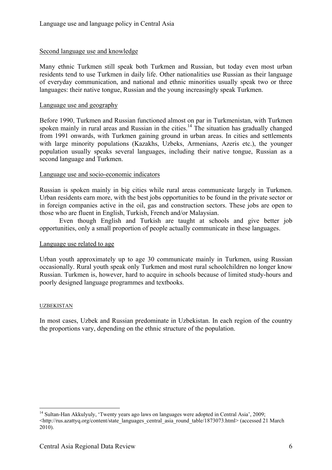## Second language use and knowledge

Many ethnic Turkmen still speak both Turkmen and Russian, but today even most urban residents tend to use Turkmen in daily life. Other nationalities use Russian as their language of everyday communication, and national and ethnic minorities usually speak two or three languages: their native tongue, Russian and the young increasingly speak Turkmen.

### Language use and geography

Before 1990, Turkmen and Russian functioned almost on par in Turkmenistan, with Turkmen spoken mainly in rural areas and Russian in the cities.<sup>14</sup> The situation has gradually changed from 1991 onwards, with Turkmen gaining ground in urban areas. In cities and settlements with large minority populations (Kazakhs, Uzbeks, Armenians, Azeris etc.), the younger population usually speaks several languages, including their native tongue, Russian as a second language and Turkmen.

## Language use and socio-economic indicators

Russian is spoken mainly in big cities while rural areas communicate largely in Turkmen. Urban residents earn more, with the best jobs opportunities to be found in the private sector or in foreign companies active in the oil, gas and construction sectors. These jobs are open to those who are fluent in English, Turkish, French and/or Malaysian.

Even though English and Turkish are taught at schools and give better job opportunities, only a small proportion of people actually communicate in these languages.

### Language use related to age

Urban youth approximately up to age 30 communicate mainly in Turkmen, using Russian occasionally. Rural youth speak only Turkmen and most rural schoolchildren no longer know Russian. Turkmen is, however, hard to acquire in schools because of limited study-hours and poorly designed language programmes and textbooks.

### UZBEKISTAN

1

In most cases, Uzbek and Russian predominate in Uzbekistan. In each region of the country the proportions vary, depending on the ethnic structure of the population.

<sup>&</sup>lt;sup>14</sup> Sultan-Han Akkulyuly, 'Twenty years ago laws on languages were adopted in Central Asia', 2009;  $\text{Khttp://rus.azattyq.org/content/state}$  languages central asia round table/1873073.html> (accessed 21 March 2010).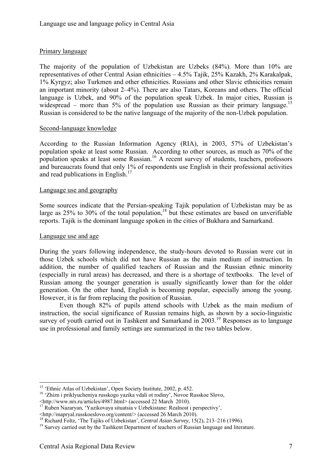# Primary language

The majority of the population of Uzbekistan are Uzbeks (84%). More than 10% are representatives of other Central Asian ethnicities – 4.5% Tajik, 25% Kazakh, 2% Karakalpak, 1% Kyrgyz; also Turkmen and other ethnicities. Russians and other Slavic ethnicities remain an important minority (about 2–4%). There are also Tatars, Koreans and others. The official language is Uzbek, and 90% of the population speak Uzbek. In major cities, Russian is widespread – more than  $5\%$  of the population use Russian as their primary language.<sup>15</sup> Russian is considered to be the native language of the majority of the non-Uzbek population.

### Second-language knowledge

According to the Russian Information Agency (RIA), in 2003, 57% of Uzbekistan's population spoke at least some Russian. According to other sources, as much as 70% of the population speaks at least some Russian.<sup>16</sup> A recent survey of students, teachers, professors and bureaucrats found that only 1% of respondents use English in their professional activities and read publications in English. $17$ 

#### Language use and geography

Some sources indicate that the Persian-speaking Tajik population of Uzbekistan may be as large as  $25\%$  to  $30\%$  of the total population,<sup>18</sup> but these estimates are based on unverifiable reports. Tajik is the dominant language spoken in the cities of Bukhara and Samarkand.

#### Language use and age

1

During the years following independence, the study-hours devoted to Russian were cut in those Uzbek schools which did not have Russian as the main medium of instruction. In addition, the number of qualified teachers of Russian and the Russian ethnic minority (especially in rural areas) has decreased, and there is a shortage of textbooks. The level of Russian among the younger generation is usually significantly lower than for the older generation. On the other hand, English is becoming popular, especially among the young. However, it is far from replacing the position of Russian.

 Even though 82% of pupils attend schools with Uzbek as the main medium of instruction, the social significance of Russian remains high, as shown by a socio-linguistic survey of youth carried out in Tashkent and Samarkand in 2003.<sup>19</sup> Responses as to language use in professional and family settings are summarized in the two tables below.

<sup>16</sup> 'Zhizn i priklyucheniya russkogo yazika vdali ot rodiny', Novoe Russkoe Slovo,  $\text{~http://www.nrs.nu/articles/4987.html> (accessed 22 March 2010).}$ 

<sup>&</sup>lt;sup>15</sup> 'Ethnic Atlas of Uzbekistan', Open Society Institute, 2002, p. 452.

 $^{17}$  Ruben Nazaryan, 'Yazikovaya situatsia v Uzbekistane: Realnost i perspectivy',

<sup>&</sup>lt;http://mapryal.russkoeslovo.org/content/> (accessed 26 March 2010).<br><sup>18</sup> Richard Foltz, 'The Tajiks of Uzbekistan', *Central Asian Survey*, 15(2), 213–216 (1996).<br><sup>19</sup> Survey carried out by the Tashkent Department of teac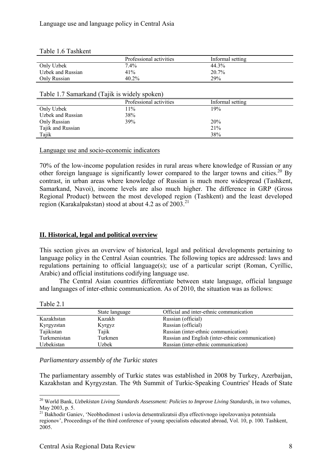|                                              | Professional activities | Informal setting |
|----------------------------------------------|-------------------------|------------------|
| Only Uzbek                                   | $7.4\%$                 | 44.3%            |
| Uzbek and Russian                            | 41%                     | 20.7%            |
| Only Russian                                 | $40.2\%$                | 29%              |
|                                              |                         |                  |
| Table 1.7 Samarkand (Tajik is widely spoken) |                         |                  |
|                                              |                         |                  |
|                                              | Professional activities | Informal setting |
| Only Uzbek                                   | 11%                     | 19%              |
| Uzbek and Russian                            | 38%                     |                  |
| Only Russian                                 | 39%                     | 20%              |
| Tajik and Russian                            |                         | 21%              |

#### Table 1.6 Tashkent

Language use and socio-economic indicators

70% of the low-income population resides in rural areas where knowledge of Russian or any other foreign language is significantly lower compared to the larger towns and cities.<sup>20</sup> By contrast, in urban areas where knowledge of Russian is much more widespread (Tashkent, Samarkand, Navoi), income levels are also much higher. The difference in GRP (Gross Regional Product) between the most developed region (Tashkent) and the least developed region (Karakalpakstan) stood at about 4.2 as of  $2003$ <sup>21</sup>

# **II. Historical, legal and political overview**

This section gives an overview of historical, legal and political developments pertaining to language policy in the Central Asian countries. The following topics are addressed: laws and regulations pertaining to official language(s); use of a particular script (Roman, Cyrillic, Arabic) and official institutions codifying language use.

The Central Asian countries differentiate between state language, official language and languages of inter-ethnic communication. As of 2010, the situation was as follows:

Table 2.1

|              | State language | Official and inter-ethnic communication          |
|--------------|----------------|--------------------------------------------------|
| Kazakhstan   | Kazakh         | Russian (official)                               |
| Kyrgyzstan   | Kyrgyz         | Russian (official)                               |
| Tajikistan   | Tajik          | Russian (inter-ethnic communication)             |
| Turkmenistan | Turkmen        | Russian and English (inter-ethnic communication) |
| Uzbekistan   | Uzbek          | Russian (inter-ethnic communication)             |

*Parliamentary assembly of the Turkic states* 

The parliamentary assembly of Turkic states was established in 2008 by Turkey, Azerbaijan, Kazakhstan and Kyrgyzstan. The 9th Summit of Turkic-Speaking Countries' Heads of State

<sup>&</sup>lt;u>.</u> 20 World Bank, *Uzbekistan Living Standards Assessment: Policies to Improve Living Standards,* in two volumes, May 2003, p. 5.

<sup>&</sup>lt;sup>21</sup> Bakhodir Ganiev, 'Neobhodimost i uslovia detsentralizatsii dlya effectivnogo ispolzovaniya potentsiala regionov', Proceedings of the third conference of young specialists educated abroad, Vol. 10, p. 100. Tashkent, 2005.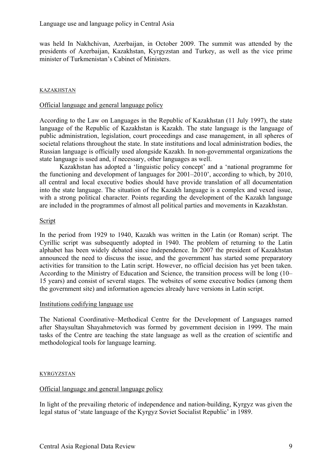was held In Nakhchivan, Azerbaijan, in October 2009. The summit was attended by the presidents of Azerbaijan, Kazakhstan, Kyrgyzstan and Turkey, as well as the vice prime minister of Turkmenistan's Cabinet of Ministers.

### KAZAKHSTAN

### Official language and general language policy

According to the Law on Languages in the Republic of Kazakhstan (11 July 1997), the state language of the Republic of Kazakhstan is Kazakh. The state language is the language of public administration, legislation, court proceedings and case management, in all spheres of societal relations throughout the state. In state institutions and local administration bodies, the Russian language is officially used alongside Kazakh. In non-governmental organizations the state language is used and, if necessary, other languages as well.

 Kazakhstan has adopted a 'linguistic policy concept' and a 'national programme for the functioning and development of languages for 2001–2010', according to which, by 2010, all central and local executive bodies should have provide translation of all documentation into the state language. The situation of the Kazakh language is a complex and vexed issue, with a strong political character. Points regarding the development of the Kazakh language are included in the programmes of almost all political parties and movements in Kazakhstan.

### **Script**

In the period from 1929 to 1940, Kazakh was written in the Latin (or Roman) script. The Cyrillic script was subsequently adopted in 1940. The problem of returning to the Latin alphabet has been widely debated since independence. In 2007 the president of Kazakhstan announced the need to discuss the issue, and the government has started some preparatory activities for transition to the Latin script. However, no official decision has yet been taken. According to the Ministry of Education and Science, the transition process will be long (10– 15 years) and consist of several stages. The websites of some executive bodies (among them the government site) and information agencies already have versions in Latin script.

### Institutions codifying language use

The National Coordinative–Methodical Centre for the Development of Languages named after Shaysultan Shayahmetovich was formed by government decision in 1999. The main tasks of the Centre are teaching the state language as well as the creation of scientific and methodological tools for language learning.

### **KYRGYZSTAN**

# Official language and general language policy

In light of the prevailing rhetoric of independence and nation-building, Kyrgyz was given the legal status of 'state language of the Kyrgyz Soviet Socialist Republic' in 1989.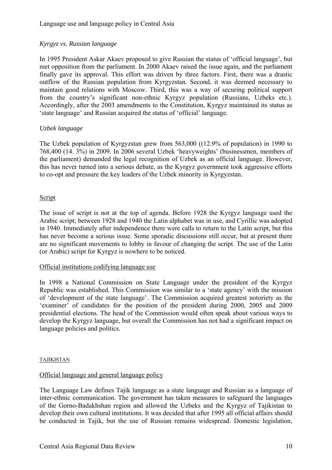# *Kyrgyz vs. Russian language*

In 1995 President Askar Akaev proposed to give Russian the status of 'official language', but met opposition from the parliament. In 2000 Akaev raised the issue again, and the parliament finally gave its approval. This effort was driven by three factors. First, there was a drastic outflow of the Russian population from Kyrgyzstan. Second, it was deemed necessary to maintain good relations with Moscow. Third, this was a way of securing political support from the country's significant non-ethnic Kyrgyz population (Russians, Uzbeks etc.). Accordingly, after the 2003 amendments to the Constitution, Kyrgyz maintained its status as 'state language' and Russian acquired the status of 'official' language.

# *Uzbek language*

The Uzbek population of Kyrgyzstan grew from 563,000 ((12.9% of population) in 1990 to 768,400 (14. 3%) in 2009. In 2006 several Uzbek 'heavyweights' (businessmen, members of the parliament) demanded the legal recognition of Uzbek as an official language. However, this has never turned into a serious debate, as the Kyrgyz government took aggressive efforts to co-opt and pressure the key leaders of the Uzbek minority in Kyrgyzstan.

# Script

The issue of script is not at the top of agenda. Before 1928 the Kyrgyz language used the Arabic script; between 1928 and 1940 the Latin alphabet was in use, and Cyrillic was adopted in 1940. Immediately after independence there were calls to return to the Latin script, but this has never become a serious issue. Some sporadic discussions still occur, but at present there are no significant movements to lobby in favour of changing the script. The use of the Latin (or Arabic) script for Kyrgyz is nowhere to be noticed.

# Official institutions codifying language use

In 1998 a National Commission on State Language under the president of the Kyrgyz Republic was established. This Commission was similar to a 'state agency' with the mission of 'development of the state language'. The Commission acquired greatest notoriety as the 'examiner' of candidates for the position of the president during 2000, 2005 and 2009 presidential elections. The head of the Commission would often speak about various ways to develop the Kyrgyz language, but overall the Commission has not had a significant impact on language policies and politics.

### TAJIKISTAN

# Official language and general language policy

The Language Law defines Tajik language as a state language and Russian as a language of inter-ethnic communication. The government has taken measures to safeguard the languages of the Gorno-Badakhshan region and allowed the Uzbeks and the Kyrgyz of Tajikistan to develop their own cultural institutions. It was decided that after 1995 all official affairs should be conducted in Tajik, but the use of Russian remains widespread. Domestic legislation,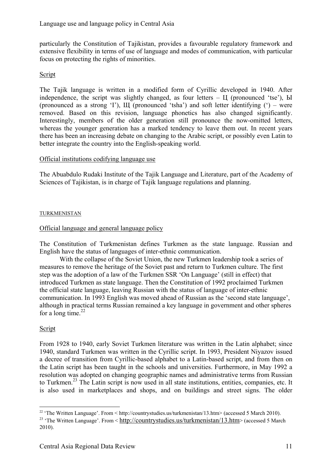particularly the Constitution of Tajikistan, provides a favourable regulatory framework and extensive flexibility in terms of use of language and modes of communication, with particular focus on protecting the rights of minorities.

# Script

The Tajik language is written in a modified form of Cyrillic developed in 1940. After independence, the script was slightly changed, as four letters  $\rm H$  (pronounced 'tse'),  $\rm H$ (pronounced as a strong 'I'), Щ (pronounced 'tsha') and soft letter identifying (') – were removed. Based on this revision, language phonetics has also changed significantly. Interestingly, members of the older generation still pronounce the now-omitted letters, whereas the younger generation has a marked tendency to leave them out. In recent years there has been an increasing debate on changing to the Arabic script, or possibly even Latin to better integrate the country into the English-speaking world.

# Official institutions codifying language use

The Abuabdulo Rudaki Institute of the Tajik Language and Literature, part of the Academy of Sciences of Tajikistan, is in charge of Tajik language regulations and planning.

## TURKMENISTAN

# Official language and general language policy

The Constitution of Turkmenistan defines Turkmen as the state language. Russian and English have the status of languages of inter-ethnic communication.

 With the collapse of the Soviet Union, the new Turkmen leadership took a series of measures to remove the heritage of the Soviet past and return to Turkmen culture. The first step was the adoption of a law of the Turkmen SSR 'On Language' (still in effect) that introduced Turkmen as state language. Then the Constitution of 1992 proclaimed Turkmen the official state language, leaving Russian with the status of language of inter-ethnic communication. In 1993 English was moved ahead of Russian as the 'second state language', although in practical terms Russian remained a key language in government and other spheres for a long time. $^{22}$ 

### Script

From 1928 to 1940, early Soviet Turkmen literature was written in the Latin alphabet; since 1940, standard Turkmen was written in the Cyrillic script. In 1993, President Niyazov issued a decree of transition from Cyrillic-based alphabet to a Latin-based script, and from then on the Latin script has been taught in the schools and universities. Furthermore, in May 1992 a resolution was adopted on changing geographic names and administrative terms from Russian to Turkmen.<sup>23</sup> The Latin script is now used in all state institutions, entities, companies, etc. It is also used in marketplaces and shops, and on buildings and street signs. The older

<sup>&</sup>lt;sup>22</sup> The Written Language'. From < http://countrystudies.us/turkmenistan/13.htm> (accessed 5 March 2010).

<sup>&</sup>lt;sup>23</sup> 'The Written Language'. From < http://countrystudies.us/turkmenistan/13.htm> (accessed 5 March 2010).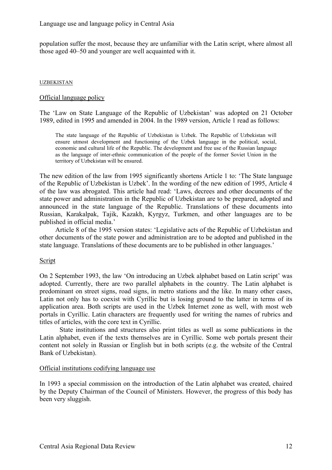population suffer the most, because they are unfamiliar with the Latin script, where almost all those aged 40–50 and younger are well acquainted with it.

#### UZBEKISTAN

### Official language policy

The 'Law on State Language of the Republic of Uzbekistan' was adopted on 21 October 1989, edited in 1995 and amended in 2004. In the 1989 version, Article 1 read as follows:

The state language of the Republic of Uzbekistan is Uzbek. The Republic of Uzbekistan will ensure utmost development and functioning of the Uzbek language in the political, social, economic and cultural life of the Republic. The development and free use of the Russian language as the language of inter-ethnic communication of the people of the former Soviet Union in the territory of Uzbekistan will be ensured.

The new edition of the law from 1995 significantly shortens Article 1 to: 'The State language of the Republic of Uzbekistan is Uzbek'. In the wording of the new edition of 1995, Article 4 of the law was abrogated. This article had read: 'Laws, decrees and other documents of the state power and administration in the Republic of Uzbekistan are to be prepared, adopted and announced in the state language of the Republic. Translations of these documents into Russian, Karakalpak, Tajik, Kazakh, Kyrgyz, Turkmen, and other languages are to be published in official media.'

Article 8 of the 1995 version states: 'Legislative acts of the Republic of Uzbekistan and other documents of the state power and administration are to be adopted and published in the state language. Translations of these documents are to be published in other languages.'

### Script

On 2 September 1993, the law 'On introducing an Uzbek alphabet based on Latin script' was adopted. Currently, there are two parallel alphabets in the country. The Latin alphabet is predominant on street signs, road signs, in metro stations and the like. In many other cases, Latin not only has to coexist with Cyrillic but is losing ground to the latter in terms of its application area. Both scripts are used in the Uzbek Internet zone as well, with most web portals in Cyrillic. Latin characters are frequently used for writing the names of rubrics and titles of articles, with the core text in Cyrillic.

 State institutions and structures also print titles as well as some publications in the Latin alphabet, even if the texts themselves are in Cyrillic. Some web portals present their content not solely in Russian or English but in both scripts (e.g. the website of the Central Bank of Uzbekistan).

### Official institutions codifying language use

In 1993 a special commission on the introduction of the Latin alphabet was created, chaired by the Deputy Chairman of the Council of Ministers. However, the progress of this body has been very sluggish.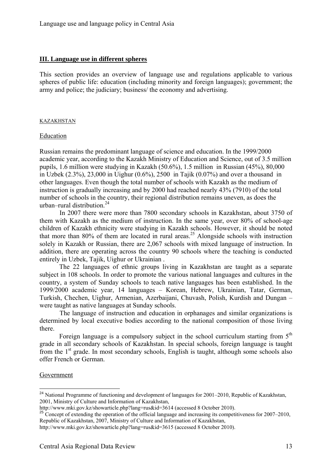### **III. Language use in different spheres**

This section provides an overview of language use and regulations applicable to various spheres of public life: education (including minority and foreign languages); government; the army and police; the judiciary; business/ the economy and advertising.

#### KAZAKHSTAN

#### Education

Russian remains the predominant language of science and education. In the 1999/2000 academic year, according to the Kazakh Ministry of Education and Science, out of 3.5 million pupils, 1.6 million were studying in Kazakh (50.6%), 1.5 million in Russian (45%), 80,000 in Uzbek (2.3%), 23,000 in Uighur (0.6%), 2500 in Tajik (0.07%) and over a thousand in other languages. Even though the total number of schools with Kazakh as the medium of instruction is gradually increasing and by 2000 had reached nearly 43% (7910) of the total number of schools in the country, their regional distribution remains uneven, as does the urban–rural distribution.<sup>24</sup>

 In 2007 there were more than 7800 secondary schools in Kazakhstan, about 3750 of them with Kazakh as the medium of instruction. In the same year, over 80% of school-age children of Kazakh ethnicity were studying in Kazakh schools. However, it should be noted that more than 80% of them are located in rural areas.<sup>25</sup> Alongside schools with instruction solely in Kazakh or Russian, there are 2,067 schools with mixed language of instruction. In addition, there are operating across the country 90 schools where the teaching is conducted entirely in Uzbek, Tajik, Uighur or Ukrainian .

The 22 languages of ethnic groups living in Kazakhstan are taught as a separate subject in 108 schools. In order to promote the various national languages and cultures in the country, a system of Sunday schools to teach native languages has been established. In the 1999/2000 academic year, 14 languages – Korean, Hebrew, Ukrainian, Tatar, German, Turkish, Chechen, Uighur, Armenian, Azerbaijani, Chuvash, Polish, Kurdish and Dungan – were taught as native languages at Sunday schools.

 The language of instruction and education in orphanages and similar organizations is determined by local executive bodies according to the national composition of those living there.

Foreign language is a compulsory subject in the school curriculum starting from  $5<sup>th</sup>$ grade in all secondary schools of Kazakhstan. In special schools, foreign language is taught from the  $1<sup>st</sup>$  grade. In most secondary schools, English is taught, although some schools also offer French or German.

#### Government

1

<sup>&</sup>lt;sup>24</sup> National Programme of functioning and development of languages for 2001–2010, Republic of Kazakhstan, 2001, Ministry of Culture and Information of Kazakhstan,<br>http://www.mki.gov.kz/showarticle.php?lang=rus&id=3614 (accessed 8 October 2010).

 $\frac{25}{35}$  Concept of extending the operation of the official language and increasing its competitiveness for 2007–2010, Republic of Kazakhstan, 2007, Ministry of Culture and Information of Kazakhstan,

http://www.mki.gov.kz/showarticle.php?lang=rus&id=3615 (accessed 8 October 2010).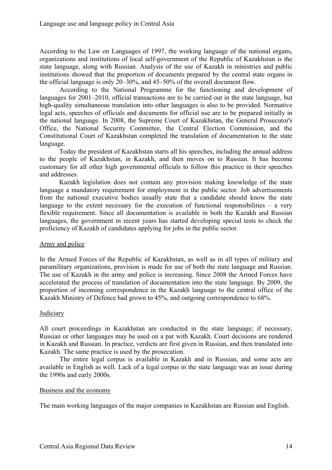According to the Law on Languages of 1997, the working language of the national organs, organizations and institutions of local self-government of the Republic of Kazakhstan is the state language, along with Russian. Analysis of the use of Kazakh in ministries and public institutions showed that the proportion of documents prepared by the central state organs in the official language is only 20–30%, and 45–50% of the overall document flow.

 According to the National Programme for the functioning and development of languages for 2001–2010, official transactions are to be carried out in the state language, but high-quality simultaneous translation into other languages is also to be provided. Normative legal acts, speeches of officials and documents for official use are to be prepared initially in the national language. In 2008, the Supreme Court of Kazakhstan, the General Prosecutor's Office, the National Security Committee, the Central Election Commission, and the Constitutional Court of Kazakhstan completed the translation of documentation to the state language.

Today the president of Kazakhstan starts all his speeches, including the annual address to the people of Kazakhstan, in Kazakh, and then moves on to Russian. It has become customary for all other high governmental officials to follow this practice in their speeches and addresses.

Kazakh legislation does not contain any provision making knowledge of the state language a mandatory requirement for employment in the public sector. Job advertisements from the national executive bodies usually state that a candidate should know the state language to the extent necessary for the execution of functional responsibilities  $-$  a very flexible requirement. Since all documentation is available in both the Kazakh and Russian languages, the government in recent years has started developing special tests to check the proficiency of Kazakh of candidates applying for jobs in the public sector.

# Army and police

In the Armed Forces of the Republic of Kazakhstan, as well as in all types of military and paramilitary organizations, provision is made for use of both the state language and Russian. The use of Kazakh in the army and police is increasing. Since 2008 the Armed Forces have accelerated the process of translation of documentation into the state language. By 2009, the proportion of incoming correspondence in the Kazakh language to the central office of the Kazakh Ministry of Defence had grown to 45%, and outgoing correspondence to 68%.

### **Judiciary**

All court proceedings in Kazakhstan are conducted in the state language; if necessary, Russian or other languages may be used on a par with Kazakh. Court decisions are rendered in Kazakh and Russian. In practice, verdicts are first given in Russian, and then translated into Kazakh. The same practice is used by the prosecution.

 The entire legal corpus is available in Kazakh and in Russian, and some acts are available in English as well. Lack of a legal corpus in the state language was an issue during the 1990s and early 2000s.

### Business and the economy

The main working languages of the major companies in Kazakhstan are Russian and English.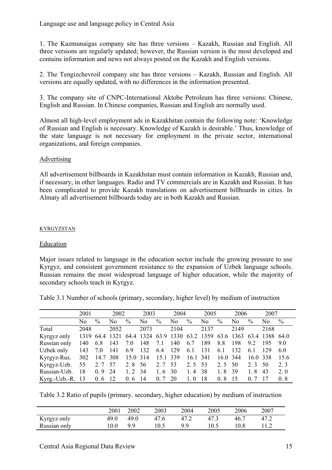1. The Kazmunaigas company site has three versions – Kazakh, Russian and English. All three versions are regularly updated; however, the Russian version is the most developed and contains information and news not always posted on the Kazakh and English versions.

2. The Tengizchevroil company site has three versions – Kazakh, Russian and English. All versions are equally updated, with no differences in the information presented.

3. The company site of CNPC-International Aktobe Petroleum has three versions: Chinese, English and Russian. In Chinese companies, Russian and English are normally used.

Almost all high-level employment ads in Kazakhstan contain the following note: 'Knowledge of Russian and English is necessary. Knowledge of Kazakh is desirable.' Thus, knowledge of the state language is not necessary for employment in the private sector, international organizations, and foreign companies.

# Advertising

All advertisement billboards in Kazakhstan must contain information in Kazakh, Russian and, if necessary, in other languages. Radio and TV commercials are in Kazakh and Russian. It has been complicated to provide Kazakh translations on advertisement billboards in cities. In Almaty all advertisement billboards today are in both Kazakh and Russian.

# **KYRGYZSTAN**

# Education

Major issues related to language in the education sector include the growing pressure to use Kyrgyz, and consistent government resistance to the expansion of Uzbek language schools. Russian remains the most widespread language of higher education, while the majority of secondary schools teach in Kyrgyz.

Table 3.1 Number of schools (primary, secondary, higher level) by medium of instruction

|               | 2001 |          | 2002           |          | 2003 |               | 2004                                                   |               | 2005           |          | 2006 |          | 2007 |      |
|---------------|------|----------|----------------|----------|------|---------------|--------------------------------------------------------|---------------|----------------|----------|------|----------|------|------|
|               | No   | $\%$     | No             | $\%$     | No.  | $\frac{0}{0}$ | N <sub>0</sub>                                         | $\frac{0}{0}$ | N <sub>0</sub> | $\%$     | No   | $\%$     | No   | $\%$ |
| Total         | 2048 |          | 2052           |          | 2073 |               | 2104                                                   |               | 2137           |          | 2149 |          | 2168 |      |
| Kyrgyz only   |      |          | 1319 64.4 1321 |          |      |               | 64.4 1324 63.9 1330 63.2 1359 63.6 1363 63.4 1388 64.0 |               |                |          |      |          |      |      |
| Russian only  | 140  | 6.8      | 143            | 7.0      | 148  | 7.1           | 140                                                    | 6.7           | 189            | 8.8      | 198  | 9.2      | 195  | 90   |
| Uzbek only    | 143  | 7.0      | 141            | 6.9      | 132  | 6.4           | 129                                                    | 6.1           | 131            | 6.1      | 132  | 6.1      | 129  | 6.0  |
| Kyrgyz-Rus.   | 302  | 14.7 308 |                | 15.0 314 |      | 15.1 339      |                                                        | 16.1 341      |                | 16.0 344 |      | 16.0 338 |      | 15.6 |
| Kyrgyz-Uzb.   | 55   | 2.7      | 57             | 2.8      | 56   | 2.7           | 53                                                     | 2.5           | - 53           | 2.5      | 50   | 2.3      | 50   | 2.3  |
| Russian-Uzb.  | 18   | 0.9      | 24             | 1.2      | -34  | 1.6           | 30                                                     | 1.4           | -38            | 1.8      | 39   | 1.8      | 43   | 2.0  |
| Kyrg.-Uzb.-R. | 13   | 0.6      | 12             | $0.6$ 14 |      | 0, 7          | 20                                                     | 1.0           | 18             | 0.8      | 15   | 0 7      | 17   | 0.8  |

Table 3.2 Ratio of pupils (primary. secondary, higher education) by medium of instruction

|              | 2001 | 2002 | 2003 | 2004 | 2005 | 2006 | 2007 |
|--------------|------|------|------|------|------|------|------|
| Kyrgyz only  | 49.0 | 49.0 | 47.6 |      |      | 46.  |      |
| Russian only | 0.0  | a a  |      | a a  |      | 10.8 |      |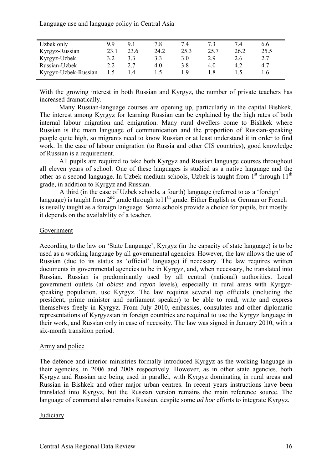Language use and language policy in Central Asia

| Uzbek only           | 99   | 91   | 7.8  | 7.4  |      | 74   | 6.6  |
|----------------------|------|------|------|------|------|------|------|
| Kyrgyz-Russian       | 23.1 | 23.6 | 24.2 | 25.3 | 25.7 | 26.2 | 25.5 |
| Kyrgyz-Uzbek         | 3.2  | 3.3  | 3.3  | 3.0  | 2.9  | 2.6  | 2.7  |
| Russian-Uzbek        | 2.2  | 2.7  | 4.0  | 3.8  | 4.0  | 4.2  | 4.7  |
| Kyrgyz-Uzbek-Russian | 1.5  | 1.4  |      | 1 Q  |      |      | -6   |
|                      |      |      |      |      |      |      |      |

With the growing interest in both Russian and Kyrgyz, the number of private teachers has increased dramatically.

Many Russian-language courses are opening up, particularly in the capital Bishkek. The interest among Kyrgyz for learning Russian can be explained by the high rates of both internal labour migration and emigration. Many rural dwellers come to Bishkek where Russian is the main language of communication and the proportion of Russian-speaking people quite high, so migrants need to know Russian or at least understand it in order to find work. In the case of labour emigration (to Russia and other CIS countries), good knowledge of Russian is a requirement.

All pupils are required to take both Kyrgyz and Russian language courses throughout all eleven years of school. One of these languages is studied as a native language and the other as a second language. In Uzbek-medium schools, Uzbek is taught from  $1<sup>st</sup>$  through  $11<sup>th</sup>$ grade, in addition to Kyrgyz and Russian.

 A third (in the case of Uzbek schools, a fourth) language (referred to as a 'foreign' language) is taught from  $2<sup>nd</sup>$  grade through to  $11<sup>th</sup>$  grade. Either English or German or French is usually taught as a foreign language. Some schools provide a choice for pupils, but mostly it depends on the availability of a teacher.

### Government

According to the law on 'State Language', Kyrgyz (in the capacity of state language) is to be used as a working language by all governmental agencies. However, the law allows the use of Russian (due to its status as 'official' language) if necessary. The law requires written documents in governmental agencies to be in Kyrgyz, and, when necessary, be translated into Russian. Russian is predominantly used by all central (national) authorities. Local government outlets (at *oblast* and *rayon* levels), especially in rural areas with Kyrgyzspeaking population, use Kyrgyz. The law requires several top officials (including the president, prime minister and parliament speaker) to be able to read, write and express themselves freely in Kyrgyz. From July 2010, embassies, consulates and other diplomatic representations of Kyrgyzstan in foreign countries are required to use the Kyrgyz language in their work, and Russian only in case of necessity. The law was signed in January 2010, with a six-month transition period.

# Army and police

The defence and interior ministries formally introduced Kyrgyz as the working language in their agencies, in 2006 and 2008 respectively. However, as in other state agencies, both Kyrgyz and Russian are being used in parallel, with Kyrgyz dominating in rural areas and Russian in Bishkek and other major urban centres. In recent years instructions have been translated into Kyrgyz, but the Russian version remains the main reference source. The language of command also remains Russian, despite some *ad hoc* efforts to integrate Kyrgyz.

### **Judiciary**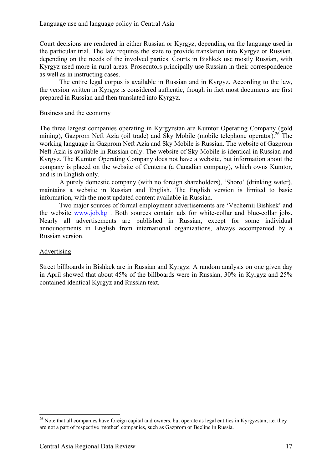Court decisions are rendered in either Russian or Kyrgyz, depending on the language used in the particular trial. The law requires the state to provide translation into Kyrgyz or Russian, depending on the needs of the involved parties. Courts in Bishkek use mostly Russian, with Kyrgyz used more in rural areas. Prosecutors principally use Russian in their correspondence as well as in instructing cases.

The entire legal corpus is available in Russian and in Kyrgyz. According to the law, the version written in Kyrgyz is considered authentic, though in fact most documents are first prepared in Russian and then translated into Kyrgyz.

### Business and the economy

The three largest companies operating in Kyrgyzstan are Kumtor Operating Company (gold mining), Gazprom Neft Azia (oil trade) and Sky Mobile (mobile telephone operator).<sup>26</sup> The working language in Gazprom Neft Azia and Sky Mobile is Russian. The website of Gazprom Neft Azia is available in Russian only. The website of Sky Mobile is identical in Russian and Kyrgyz. The Kumtor Operating Company does not have a website, but information about the company is placed on the website of Centerra (a Canadian company), which owns Kumtor, and is in English only.

 A purely domestic company (with no foreign shareholders), 'Shoro' (drinking water), maintains a website in Russian and English. The English version is limited to basic information, with the most updated content available in Russian.

Two major sources of formal employment advertisements are 'Vechernii Bishkek' and the website www.job.kg . Both sources contain ads for white-collar and blue-collar jobs. Nearly all advertisements are published in Russian, except for some individual announcements in English from international organizations, always accompanied by a Russian version.

### Advertising

<u>.</u>

Street billboards in Bishkek are in Russian and Kyrgyz. A random analysis on one given day in April showed that about 45% of the billboards were in Russian, 30% in Kyrgyz and 25% contained identical Kyrgyz and Russian text.

 $26$  Note that all companies have foreign capital and owners, but operate as legal entities in Kyrgyzstan, i.e. they are not a part of respective 'mother' companies, such as Gazprom or Beeline in Russia.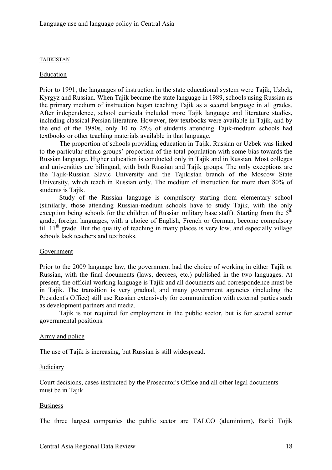#### TAJIKISTAN

### Education

Prior to 1991, the languages of instruction in the state educational system were Tajik, Uzbek, Kyrgyz and Russian. When Tajik became the state language in 1989, schools using Russian as the primary medium of instruction began teaching Tajik as a second language in all grades. After independence, school curricula included more Tajik language and literature studies, including classical Persian literature. However, few textbooks were available in Tajik, and by the end of the 1980s, only 10 to 25% of students attending Tajik-medium schools had textbooks or other teaching materials available in that language.

 The proportion of schools providing education in Tajik, Russian or Uzbek was linked to the particular ethnic groups' proportion of the total population with some bias towards the Russian language. Higher education is conducted only in Tajik and in Russian. Most colleges and universities are bilingual, with both Russian and Tajik groups. The only exceptions are the Tajik-Russian Slavic University and the Tajikistan branch of the Moscow State University, which teach in Russian only. The medium of instruction for more than 80% of students is Tajik.

Study of the Russian language is compulsory starting from elementary school (similarly, those attending Russian-medium schools have to study Tajik, with the only exception being schools for the children of Russian military base staff). Starting from the  $5<sup>th</sup>$ grade, foreign languages, with a choice of English, French or German, become compulsory till  $11<sup>th</sup>$  grade. But the quality of teaching in many places is very low, and especially village schools lack teachers and textbooks.

### Government

Prior to the 2009 language law, the government had the choice of working in either Tajik or Russian, with the final documents (laws, decrees, etc.) published in the two languages. At present, the official working language is Tajik and all documents and correspondence must be in Tajik. The transition is very gradual, and many government agencies (including the President's Office) still use Russian extensively for communication with external parties such as development partners and media.

Tajik is not required for employment in the public sector, but is for several senior governmental positions.

### Army and police

The use of Tajik is increasing, but Russian is still widespread.

### **Judiciary**

Court decisions, cases instructed by the Prosecutor's Office and all other legal documents must be in Tajik.

### Business

The three largest companies the public sector are TALCO (aluminium), Barki Tojik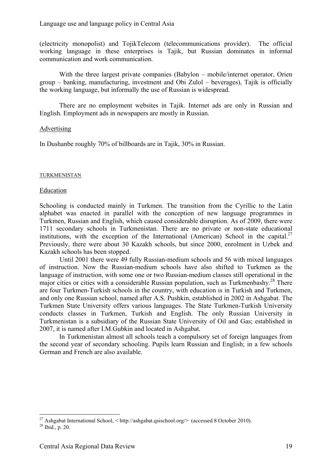(electricity monopolist) and TojikTelecom (telecommunications provider). The official working language in these enterprises is Tajik, but Russian dominates in informal communication and work communication.

With the three largest private companies (Babylon – mobile/internet operator, Orien group – banking, manufacturing, investment and Obi Zulol – beverages), Tajik is officially the working language, but informally the use of Russian is widespread.

There are no employment websites in Tajik. Internet ads are only in Russian and English. Employment ads in newspapers are mostly in Russian.

### **Advertising**

In Dushanbe roughly 70% of billboards are in Tajik, 30% in Russian.

#### TURKMENISTAN

#### Education

Schooling is conducted mainly in Turkmen. The transition from the Cyrillic to the Latin alphabet was enacted in parallel with the conception of new language programmes in Turkmen, Russian and English, which caused considerable disruption. As of 2009, there were 1711 secondary schools in Turkmenistan. There are no private or non-state educational institutions, with the exception of the International (American) School in the capital.<sup>27</sup> Previously, there were about 30 Kazakh schools, but since 2000, enrolment in Uzbek and Kazakh schools has been stopped.

 Until 2001 there were 49 fully Russian-medium schools and 56 with mixed languages of instruction. Now the Russian-medium schools have also shifted to Turkmen as the language of instruction, with some one or two Russian-medium classes still operational in the major cities or cities with a considerable Russian population, such as Turkmenbashy.<sup>28</sup> There are four Turkmen-Turkish schools in the country, with education is in Turkish and Turkmen, and only one Russian school, named after A.S. Pushkin, established in 2002 in Ashgabat. The Turkmen State University offers various languages. The State Turkmen-Turkish University conducts classes in Turkmen, Turkish and English. The only Russian University in Turkmenistan is a subsidiary of the Russian State University of Oil and Gas; established in 2007, it is named after I.M.Gubkin and located in Ashgabat.

In Turkmenistan almost all schools teach a compulsory set of foreign languages from the second year of secondary schooling. Pupils learn Russian and English; in a few schools German and French are also available.

<u>.</u>

<sup>&</sup>lt;sup>27</sup> Ashgabat International School,  $\lt$ http://ashgabat.qsischool.org/ $\gt$  (accessed 8 October 2010).<br><sup>28</sup> Ibid., p. 20.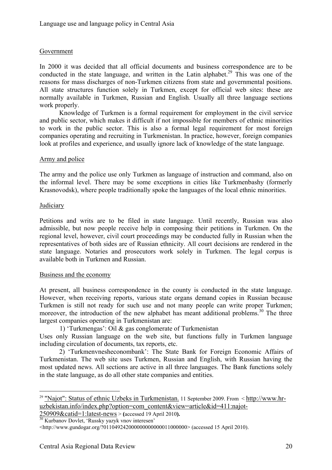# Government

In 2000 it was decided that all official documents and business correspondence are to be conducted in the state language, and written in the Latin alphabet.<sup>29</sup> This was one of the reasons for mass discharges of non-Turkmen citizens from state and governmental positions. All state structures function solely in Turkmen, except for official web sites: these are normally available in Turkmen, Russian and English. Usually all three language sections work properly.

Knowledge of Turkmen is a formal requirement for employment in the civil service and public sector, which makes it difficult if not impossible for members of ethnic minorities to work in the public sector. This is also a formal legal requirement for most foreign companies operating and recruiting in Turkmenistan. In practice, however, foreign companies look at profiles and experience, and usually ignore lack of knowledge of the state language.

## Army and police

The army and the police use only Turkmen as language of instruction and command, also on the informal level. There may be some exceptions in cities like Turkmenbashy (formerly Krasnovodsk), where people traditionally spoke the languages of the local ethnic minorities.

## Judiciary

1

Petitions and writs are to be filed in state language. Until recently, Russian was also admissible, but now people receive help in composing their petitions in Turkmen. On the regional level, however, civil court proceedings may be conducted fully in Russian when the representatives of both sides are of Russian ethnicity. All court decisions are rendered in the state language. Notaries and prosecutors work solely in Turkmen. The legal corpus is available both in Turkmen and Russian.

### Business and the economy

At present, all business correspondence in the county is conducted in the state language. However, when receiving reports, various state organs demand copies in Russian because Turkmen is still not ready for such use and not many people can write proper Turkmen; moreover, the introduction of the new alphabet has meant additional problems.<sup>30</sup> The three largest companies operating in Turkmenistan are:

1) 'Turkmengas': Oil & gas conglomerate of Turkmenistan

Uses only Russian language on the web site, but functions fully in Turkmen language including circulation of documents, tax reports, etc.

2) 'Turkmenvnesheconombank': The State Bank for Foreign Economic Affairs of Turkmenistan. The web site uses Turkmen, Russian and English, with Russian having the most updated news. All sections are active in all three languages. The Bank functions solely in the state language, as do all other state companies and entities.

250909&catid=1:latest-news > **(**accessed 19 April 2010**).** 30 Kurbanov Dovlet, 'Russky yazyk vnov interesen'

<sup>29</sup> "Najot": Status of ethnic Uzbeks in Turkmenistan. 11 September 2009. From < http://www.hruzbekistan.info/index.php?option=com\_content&view=article&id=411:najot-

<sup>&</sup>lt;http://www.gundogar.org/?011049242000000000000011000000> (accessed 15 April 2010).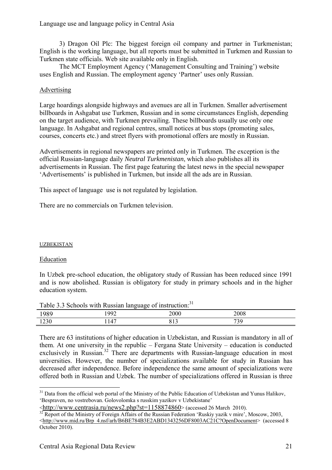Language use and language policy in Central Asia

3) Dragon Oil Plc: The biggest foreign oil company and partner in Turkmenistan; English is the working language, but all reports must be submitted in Turkmen and Russian to Turkmen state officials. Web site available only in English.

The MCT Employment Agency ('Management Consulting and Training') website uses English and Russian. The employment agency 'Partner' uses only Russian.

# Advertising

Large hoardings alongside highways and avenues are all in Turkmen. Smaller advertisement billboards in Ashgabat use Turkmen, Russian and in some circumstances English, depending on the target audience, with Turkmen prevailing. These billboards usually use only one language. In Ashgabat and regional centres, small notices at bus stops (promoting sales, courses, concerts etc.) and street flyers with promotional offers are mostly in Russian.

Advertisements in regional newspapers are printed only in Turkmen. The exception is the official Russian-language daily *Neutral Turkmenistan*, which also publishes all its advertisements in Russian. The first page featuring the latest news in the special newspaper 'Advertisements' is published in Turkmen, but inside all the ads are in Russian.

This aspect of language use is not regulated by legislation.

There are no commercials on Turkmen television.

### UZBEKISTAN

### Education

In Uzbek pre-school education, the obligatory study of Russian has been reduced since 1991 and is now abolished. Russian is obligatory for study in primary schools and in the higher education system.

| Table 3.3 Schools with Russian language of instruction: <sup>31</sup> |      |      |      |  |  |
|-----------------------------------------------------------------------|------|------|------|--|--|
| 1989                                                                  | 1992 | 2000 | 2008 |  |  |
| 1230                                                                  | 147  |      | 739  |  |  |

There are 63 institutions of higher education in Uzbekistan, and Russian is mandatory in all of them. At one university in the republic – Fergana State University – education is conducted exclusively in Russian.<sup>32</sup> There are departments with Russian-language education in most universities. However, the number of specializations available for study in Russian has decreased after independence. Before independence the same amount of specializations were offered both in Russian and Uzbek. The number of specializations offered in Russian is three

<sup>1</sup> <sup>31</sup> Data from the official web portal of the Ministry of the Public Education of Uzbekistan and Yunus Halikov, 'Bespraven, no vostrebovan. Golovolomka s russkim yazikov v Uzbekistane'

 $\frac{\text{http://www.centrasia.ru/news2.php?st=1158874860}{32}$  (accessed 26 March 2010).

<sup>&</sup>lt;http://www.mid.ru/Brp\_4.nsf/arh/B6BE784B3E2ABD1343256DF8003AC21C?OpenDocument> (accessed 8 October 2010).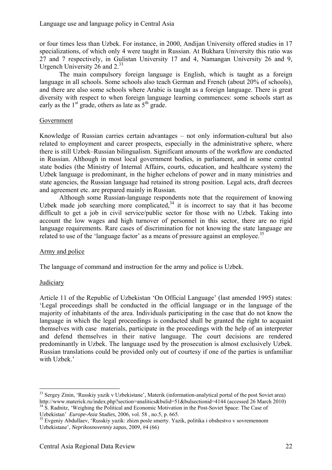or four times less than Uzbek. For instance, in 2000, Andijan University offered studies in 17 specializations, of which only 4 were taught in Russian. At Bukhara University this ratio was 27 and 7 respectively, in Gulistan University 17 and 4, Namangan University 26 and 9, Urgench University 26 and 2.<sup>33</sup>

The main compulsory foreign language is English, which is taught as a foreign language in all schools. Some schools also teach German and French (about 20% of schools), and there are also some schools where Arabic is taught as a foreign language. There is great diversity with respect to when foreign language learning commences: some schools start as early as the  $1<sup>st</sup>$  grade, others as late as  $5<sup>th</sup>$  grade.

## Government

Knowledge of Russian carries certain advantages – not only information-cultural but also related to employment and career prospects, especially in the administrative sphere, where there is still Uzbek–Russian bilingualism. Significant amounts of the workflow are conducted in Russian. Although in most local government bodies, in parliament, and in some central state bodies (the Ministry of Internal Affairs, courts, education, and healthcare system) the Uzbek language is predominant, in the higher echelons of power and in many ministries and state agencies, the Russian language had retained its strong position. Legal acts, draft decrees and agreement etc. are prepared mainly in Russian.

Although some Russian-language respondents note that the requirement of knowing Uzbek made job searching more complicated,  $34$  it is incorrect to say that it has become difficult to get a job in civil service/public sector for those with no Uzbek. Taking into account the low wages and high turnover of personnel in this sector, there are no rigid language requirements. Rare cases of discrimination for not knowing the state language are related to use of the 'language factor' as a means of pressure against an employee.<sup>35</sup>

# Army and police

The language of command and instruction for the army and police is Uzbek.

# **Judiciary**

1

Article 11 of the Republic of Uzbekistan 'On Official Language' (last amended 1995) states: 'Legal proceedings shall be conducted in the official language or in the language of the majority of inhabitants of the area. Individuals participating in the case that do not know the language in which the legal proceedings is conducted shall be granted the right to acquaint themselves with case materials, participate in the proceedings with the help of an interpreter and defend themselves in their native language. The court decisions are rendered predominantly in Uzbek. The language used by the prosecution is almost exclusively Uzbek. Russian translations could be provided only out of courtesy if one of the parties is unfamiliar with Uzbek.'

<sup>&</sup>lt;sup>33</sup> Sergey Zinin, 'Russkiy yazik v Uzbekistane', Materik (information-analytical portal of the post Soviet area) http://www.materick.ru/index.php?section=analitics&bulid=51&bulsectionid=4144 (accessed 26 March 2010)  $h<sup>34</sup>$  S. Radnitz, 'Weighing the Political and Economic Motivation in the Post-Soviet Space: The Case of

Uzbekistan' *Europe-Asia Studies,* 2006, vol. 58, no.5, p. 665.<br><sup>35</sup> Evgeniy Abdullaev, 'Russkiy yazik: zhizn posle smerty. Yazik, politika i obshestvo v sovremennom Uzbekistane', *Neprikosnovenniy zapas*, 2009, #4 (66)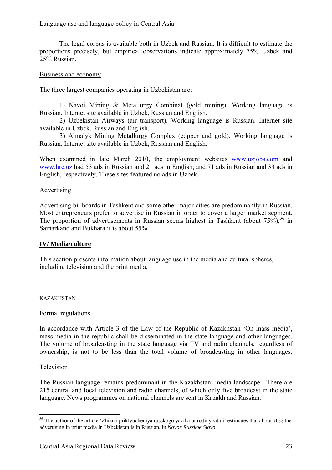## Language use and language policy in Central Asia

The legal corpus is available both in Uzbek and Russian. It is difficult to estimate the proportions precisely, but empirical observations indicate approximately 75% Uzbek and 25% Russian.

## Business and economy

The three largest companies operating in Uzbekistan are:

1) Navoi Mining & Metallurgy Combinat (gold mining). Working language is Russian. Internet site available in Uzbek, Russian and English.

 2) Uzbekistan Airways (air transport). Working language is Russian. Internet site available in Uzbek, Russian and English.

 3) Almalyk Mining Metallurgy Complex (copper and gold). Working language is Russian. Internet site available in Uzbek, Russian and English.

When examined in late March 2010, the employment websites www.uzjobs.com and www.hrc.uz had 53 ads in Russian and 21 ads in English; and 71 ads in Russian and 33 ads in English, respectively. These sites featured no ads in Uzbek.

## **Advertising**

Advertising billboards in Tashkent and some other major cities are predominantly in Russian. Most entrepreneurs prefer to advertise in Russian in order to cover a larger market segment. The proportion of advertisements in Russian seems highest in Tashkent (about  $75\%$ );<sup>36</sup> in Samarkand and Bukhara it is about 55%.

### **IV/ Media/culture**

This section presents information about language use in the media and cultural spheres, including television and the print media.

### KAZAKHSTAN

### Formal regulations

In accordance with Article 3 of the Law of the Republic of Kazakhstan 'On mass media', mass media in the republic shall be disseminated in the state language and other languages. The volume of broadcasting in the state language via TV and radio channels, regardless of ownership, is not to be less than the total volume of broadcasting in other languages.

### Television

<u>.</u>

The Russian language remains predominant in the Kazakhstani media landscape. There are 215 central and local television and radio channels, of which only five broadcast in the state language. News programmes on national channels are sent in Kazakh and Russian.

<sup>&</sup>lt;sup>36</sup> The author of the article 'Zhizn i priklyucheniya russkogo yazika ot rodiny vdali' estimates that about 70% the advertising in print media in Uzbekistan is in Russian, in *Novoe Russkoe Slovo*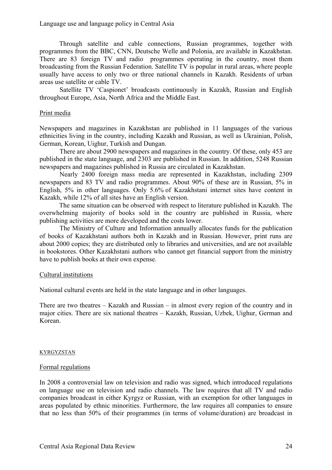Through satellite and cable connections, Russian programmes, together with programmes from the BBC, CNN, Deutsche Welle and Polonia, are available in Kazakhstan. There are 83 foreign TV and radio programmes operating in the country, most them broadcasting from the Russian Federation. Satellite TV is popular in rural areas, where people usually have access to only two or three national channels in Kazakh. Residents of urban areas use satellite or cable TV.

 Satellite TV 'Caspionet' broadcasts continuously in Kazakh, Russian and English throughout Europe, Asia, North Africa and the Middle East.

### Print media

Newspapers and magazines in Kazakhstan are published in 11 languages of the various ethnicities living in the country, including Kazakh and Russian, as well as Ukrainian, Polish, German, Korean, Uighur, Turkish and Dungan.

 There are about 2900 newspapers and magazines in the country. Of these, only 453 are published in the state language, and 2303 are published in Russian. In addition, 5248 Russian newspapers and magazines published in Russia are circulated in Kazakhstan.

 Nearly 2400 foreign mass media are represented in Kazakhstan, including 2309 newspapers and 83 TV and radio programmes. About 90% of these are in Russian, 5% in English, 5% in other languages. Only 5.6% of Kazakhstani internet sites have content in Kazakh, while 12% of all sites have an English version.

The same situation can be observed with respect to literature published in Kazakh. The overwhelming majority of books sold in the country are published in Russia, where publishing activities are more developed and the costs lower.

 The Ministry of Culture and Information annually allocates funds for the publication of books of Kazakhstani authors both in Kazakh and in Russian. However, print runs are about 2000 copies; they are distributed only to libraries and universities, and are not available in bookstores. Other Kazakhstani authors who cannot get financial support from the ministry have to publish books at their own expense.

### Cultural institutions

National cultural events are held in the state language and in other languages.

There are two theatres – Kazakh and Russian – in almost every region of the country and in major cities. There are six national theatres – Kazakh, Russian, Uzbek, Uighur, German and Korean.

#### KYRGYZSTAN

### Formal regulations

In 2008 a controversial law on television and radio was signed, which introduced regulations on language use on television and radio channels. The law requires that all TV and radio companies broadcast in either Kyrgyz or Russian, with an exemption for other languages in areas populated by ethnic minorities. Furthermore, the law requires all companies to ensure that no less than 50% of their programmes (in terms of volume/duration) are broadcast in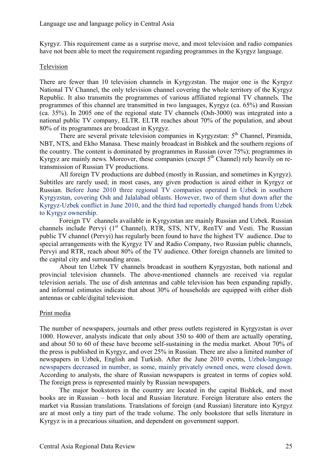Kyrgyz. This requirement came as a surprise move, and most television and radio companies have not been able to meet the requirement regarding programmes in the Kyrgyz language.

## Television

There are fewer than 10 television channels in Kyrgyzstan. The major one is the Kyrgyz National TV Channel, the only television channel covering the whole territory of the Kyrgyz Republic. It also transmits the programmes of various affiliated regional TV channels. The programmes of this channel are transmitted in two languages, Kyrgyz (ca. 65%) and Russian (ca. 35%). In 2005 one of the regional state TV channels (Osh-3000) was integrated into a national public TV company, ELTR. ELTR reaches about 70% of the population, and about 80% of its programmes are broadcast in Kyrgyz.

There are several private television companies in Kyrgyzstan: 5<sup>th</sup> Channel, Piramida, NBT, NTS, and Ekho Manasa. These mainly broadcast in Bishkek and the southern regions of the country. The content is dominated by programmes in Russian (over 75%); programmes in Kyrgyz are mainly news. Moreover, these companies (except  $5<sup>th</sup>$  Channel) rely heavily on retransmission of Russian TV productions.

 All foreign TV productions are dubbed (mostly in Russian, and sometimes in Kyrgyz). Subtitles are rarely used; in most cases, any given production is aired either in Kyrgyz or Russian. Before June 2010 three regional TV companies operated in Uzbek in southern Kyrgyzstan, covering Osh and Jalalabad oblasts. However, two of them shut down after the Kyrgyz-Uzbek conflict in June 2010, and the third had reportedly changed hands from Uzbek to Kyrgyz ownership.

Foreign TV channels available in Kyrgyzstan are mainly Russian and Uzbek. Russian channels include Pervyi  $(1<sup>st</sup>$  Channel), RTR, STS, NTV, RenTV and Vesti. The Russian public TV channel (Pervyi) has regularly been found to have the highest TV audience. Due to special arrangements with the Kyrgyz TV and Radio Company, two Russian public channels, Pervyi and RTR, reach about 80% of the TV audience. Other foreign channels are limited to the capital city and surrounding areas.

 About ten Uzbek TV channels broadcast in southern Kyrgyzstan, both national and provincial television channels. The above-mentioned channels are received via regular television aerials. The use of dish antennas and cable television has been expanding rapidly, and informal estimates indicate that about 30% of households are equipped with either dish antennas or cable/digital television.

# Print media

The number of newspapers, journals and other press outlets registered in Kyrgyzstan is over 1000. However, analysts indicate that only about 350 to 400 of them are actually operating, and about 50 to 60 of these have become self-sustaining in the media market. About 70% of the press is published in Kyrgyz, and over 25% in Russian. There are also a limited number of newspapers in Uzbek, English and Turkish. After the June 2010 events, Uzbek-language newspapers decreased in number, as some, mainly privately owned ones, were closed down. According to analysts, the share of Russian newspapers is greatest in terms of copies sold. The foreign press is represented mainly by Russian newspapers.

The major bookstores in the country are located in the capital Bishkek, and most books are in Russian – both local and Russian literature. Foreign literature also enters the market via Russian translations. Translations of foreign (and Russian) literature into Kyrgyz are at most only a tiny part of the trade volume. The only bookstore that sells literature in Kyrgyz is in a precarious situation, and dependent on government support.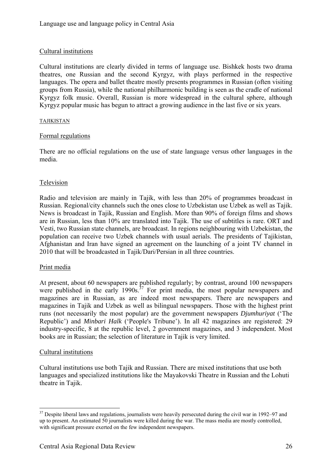# Cultural institutions

Cultural institutions are clearly divided in terms of language use. Bishkek hosts two drama theatres, one Russian and the second Kyrgyz, with plays performed in the respective languages. The opera and ballet theatre mostly presents programmes in Russian (often visiting groups from Russia), while the national philharmonic building is seen as the cradle of national Kyrgyz folk music. Overall, Russian is more widespread in the cultural sphere, although Kyrgyz popular music has begun to attract a growing audience in the last five or six years.

### TAJIKISTAN

## Formal regulations

There are no official regulations on the use of state language versus other languages in the media.

## Television

Radio and television are mainly in Tajik, with less than 20% of programmes broadcast in Russian. Regional/city channels such the ones close to Uzbekistan use Uzbek as well as Tajik. News is broadcast in Tajik, Russian and English. More than 90% of foreign films and shows are in Russian, less than 10% are translated into Tajik. The use of subtitles is rare. ORT and Vesti, two Russian state channels, are broadcast. In regions neighbouring with Uzbekistan, the population can receive two Uzbek channels with usual aerials. The presidents of Tajikistan, Afghanistan and Iran have signed an agreement on the launching of a joint TV channel in 2010 that will be broadcasted in Tajik/Dari/Persian in all three countries.

### Print media

At present, about 60 newspapers are published regularly; by contrast, around 100 newspapers were published in the early  $1990s^{37}$  For print media, the most popular newspapers and magazines are in Russian, as are indeed most newspapers. There are newspapers and magazines in Tajik and Uzbek as well as bilingual newspapers. Those with the highest print runs (not necessarily the most popular) are the government newspapers *Djumhuriyat* ('The Republic') and *Minbari Halk* ('People's Tribune'). In all 42 magazines are registered: 29 industry-specific, 8 at the republic level, 2 government magazines, and 3 independent. Most books are in Russian; the selection of literature in Tajik is very limited.

### Cultural institutions

1

Cultural institutions use both Tajik and Russian. There are mixed institutions that use both languages and specialized institutions like the Mayakovski Theatre in Russian and the Lohuti theatre in Tajik.

<sup>&</sup>lt;sup>37</sup> Despite liberal laws and regulations, journalists were heavily persecuted during the civil war in 1992–97 and up to present. An estimated 50 journalists were killed during the war. The mass media are mostly controlled, with significant pressure exerted on the few independent newspapers.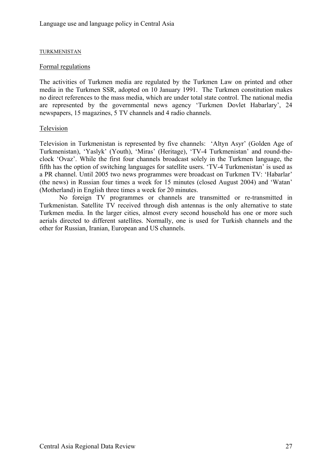### TURKMENISTAN

### Formal regulations

The activities of Turkmen media are regulated by the Turkmen Law on printed and other media in the Turkmen SSR, adopted on 10 January 1991. The Turkmen constitution makes no direct references to the mass media, which are under total state control. The national media are represented by the governmental news agency 'Turkmen Dovlet Habarlary', 24 newspapers, 15 magazines, 5 TV channels and 4 radio channels.

## Television

Television in Turkmenistan is represented by five channels: 'Altyn Asyr' (Golden Age of Turkmenistan), 'Yaslyk' (Youth), 'Miras' (Heritage), 'TV-4 Turkmenistan' and round-theclock 'Ovaz'. While the first four channels broadcast solely in the Turkmen language, the fifth has the option of switching languages for satellite users. 'TV-4 Turkmenistan' is used as a PR channel. Until 2005 two news programmes were broadcast on Turkmen TV: 'Нabarlar' (the news) in Russian four times a week for 15 minutes (closed August 2004) and 'Watan' (Motherland) in English three times a week for 20 minutes.

No foreign TV programmes or channels are transmitted or re-transmitted in Turkmenistan. Satellite TV received through dish antennas is the only alternative to state Turkmen media. In the larger cities, almost every second household has one or more such aerials directed to different satellites. Normally, one is used for Turkish channels and the other for Russian, Iranian, European and US channels.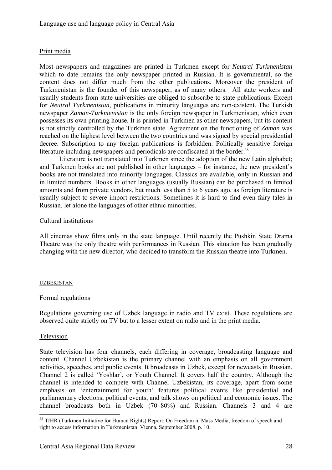# Print media

Most newspapers and magazines are printed in Turkmen except for *Neutral Turkmenistan* which to date remains the only newspaper printed in Russian. It is governmental, so the content does not differ much from the other publications. Moreover the president of Turkmenistan is the founder of this newspaper, as of many others. All state workers and usually students from state universities are obliged to subscribe to state publications. Except for *Neutral Turkmenistan*, publications in minority languages are non-existent. The Turkish newspaper *Zaman-Turkmenistan* is the only foreign newspaper in Turkmenistan, which even possesses its own printing house. It is printed in Turkmen as other newspapers, but its content is not strictly controlled by the Turkmen state. Agreement on the functioning of *Zaman* was reached on the highest level between the two countries and was signed by special presidential decree. Subscription to any foreign publications is forbidden. Politically sensitive foreign literature including newspapers and periodicals are confiscated at the border.<sup>38</sup>

Literature is not translated into Turkmen since the adoption of the new Latin alphabet; and Turkmen books are not published in other languages – for instance, the new president's books are not translated into minority languages. Classics are available, only in Russian and in limited numbers. Books in other languages (usually Russian) can be purchased in limited amounts and from private vendors, but much less than 5 to 6 years ago, as foreign literature is usually subject to severe import restrictions. Sometimes it is hard to find even fairy-tales in Russian, let alone the languages of other ethnic minorities.

## Cultural institutions

All cinemas show films only in the state language. Until recently the Pushkin State Drama Theatre was the only theatre with performances in Russian. This situation has been gradually changing with the new director, who decided to transform the Russian theatre into Turkmen.

### UZBEKISTAN

# Formal regulations

Regulations governing use of Uzbek language in radio and TV exist. These regulations are observed quite strictly on TV but to a lesser extent on radio and in the print media.

### Television

<u>.</u>

State television has four channels, each differing in coverage, broadcasting language and content. Channel Uzbekistan is the primary channel with an emphasis on all government activities, speeches, and public events. It broadcasts in Uzbek, except for newcasts in Russian. Channel 2 is called 'Yoshlar', or Youth Channel. It covers half the country. Although the channel is intended to compete with Channel Uzbekistan, its coverage, apart from some emphasis on 'entertainment for youth' features political events like presidential and parliamentary elections, political events, and talk shows on political and economic issues. The channel broadcasts both in Uzbek (70–80%) and Russian. Channels 3 and 4 are

<sup>&</sup>lt;sup>38</sup> TIHR (Turkmen Initiative for Human Rights) Report: On Freedom in Mass Media, freedom of speech and right to access information in Turkmenistan. Vienna, September 2008, p. 10.